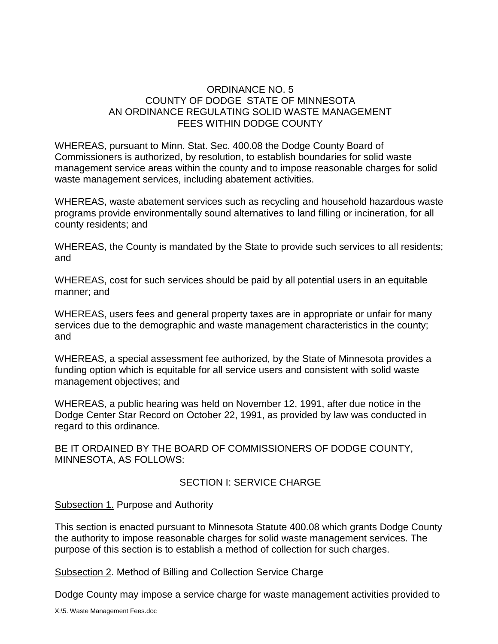## ORDINANCE NO. 5 COUNTY OF DODGE STATE OF MINNESOTA AN ORDINANCE REGULATING SOLID WASTE MANAGEMENT FEES WITHIN DODGE COUNTY

WHEREAS, pursuant to Minn. Stat. Sec. 400.08 the Dodge County Board of Commissioners is authorized, by resolution, to establish boundaries for solid waste management service areas within the county and to impose reasonable charges for solid waste management services, including abatement activities.

WHEREAS, waste abatement services such as recycling and household hazardous waste programs provide environmentally sound alternatives to land filling or incineration, for all county residents; and

WHEREAS, the County is mandated by the State to provide such services to all residents; and

WHEREAS, cost for such services should be paid by all potential users in an equitable manner; and

WHEREAS, users fees and general property taxes are in appropriate or unfair for many services due to the demographic and waste management characteristics in the county; and

WHEREAS, a special assessment fee authorized, by the State of Minnesota provides a funding option which is equitable for all service users and consistent with solid waste management objectives; and

WHEREAS, a public hearing was held on November 12, 1991, after due notice in the Dodge Center Star Record on October 22, 1991, as provided by law was conducted in regard to this ordinance.

BE IT ORDAINED BY THE BOARD OF COMMISSIONERS OF DODGE COUNTY, MINNESOTA, AS FOLLOWS:

#### SECTION I: SERVICE CHARGE

#### Subsection 1. Purpose and Authority

This section is enacted pursuant to Minnesota Statute 400.08 which grants Dodge County the authority to impose reasonable charges for solid waste management services. The purpose of this section is to establish a method of collection for such charges.

Subsection 2. Method of Billing and Collection Service Charge

Dodge County may impose a service charge for waste management activities provided to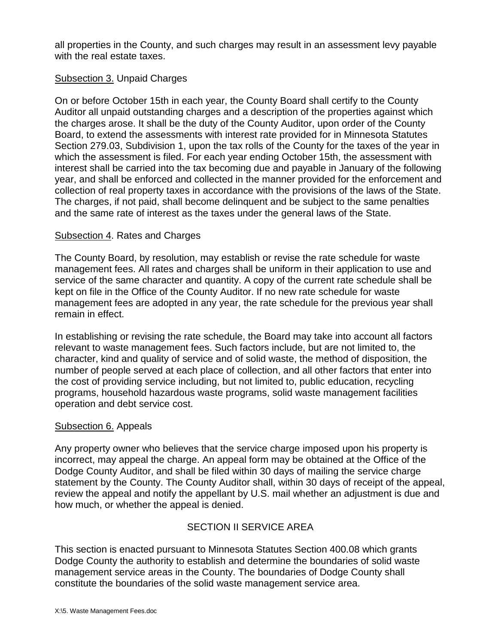all properties in the County, and such charges may result in an assessment levy payable with the real estate taxes.

## Subsection 3. Unpaid Charges

On or before October 15th in each year, the County Board shall certify to the County Auditor all unpaid outstanding charges and a description of the properties against which the charges arose. It shall be the duty of the County Auditor, upon order of the County Board, to extend the assessments with interest rate provided for in Minnesota Statutes Section 279.03, Subdivision 1, upon the tax rolls of the County for the taxes of the year in which the assessment is filed. For each year ending October 15th, the assessment with interest shall be carried into the tax becoming due and payable in January of the following year, and shall be enforced and collected in the manner provided for the enforcement and collection of real property taxes in accordance with the provisions of the laws of the State. The charges, if not paid, shall become delinquent and be subject to the same penalties and the same rate of interest as the taxes under the general laws of the State.

#### Subsection 4. Rates and Charges

The County Board, by resolution, may establish or revise the rate schedule for waste management fees. All rates and charges shall be uniform in their application to use and service of the same character and quantity. A copy of the current rate schedule shall be kept on file in the Office of the County Auditor. If no new rate schedule for waste management fees are adopted in any year, the rate schedule for the previous year shall remain in effect.

In establishing or revising the rate schedule, the Board may take into account all factors relevant to waste management fees. Such factors include, but are not limited to, the character, kind and quality of service and of solid waste, the method of disposition, the number of people served at each place of collection, and all other factors that enter into the cost of providing service including, but not limited to, public education, recycling programs, household hazardous waste programs, solid waste management facilities operation and debt service cost.

#### Subsection 6. Appeals

Any property owner who believes that the service charge imposed upon his property is incorrect, may appeal the charge. An appeal form may be obtained at the Office of the Dodge County Auditor, and shall be filed within 30 days of mailing the service charge statement by the County. The County Auditor shall, within 30 days of receipt of the appeal, review the appeal and notify the appellant by U.S. mail whether an adjustment is due and how much, or whether the appeal is denied.

# SECTION II SERVICE AREA

This section is enacted pursuant to Minnesota Statutes Section 400.08 which grants Dodge County the authority to establish and determine the boundaries of solid waste management service areas in the County. The boundaries of Dodge County shall constitute the boundaries of the solid waste management service area.